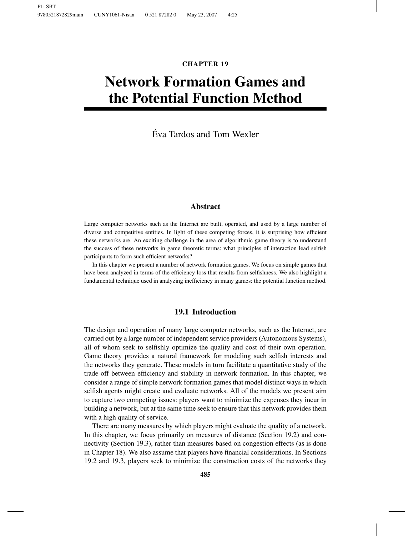# **CHAPTER 19**

# **Network Formation Games and the Potential Function Method**

# Eva Tardos and Tom Wexler ´

# **Abstract**

Large computer networks such as the Internet are built, operated, and used by a large number of diverse and competitive entities. In light of these competing forces, it is surprising how efficient these networks are. An exciting challenge in the area of algorithmic game theory is to understand the success of these networks in game theoretic terms: what principles of interaction lead selfish participants to form such efficient networks?

In this chapter we present a number of network formation games. We focus on simple games that have been analyzed in terms of the efficiency loss that results from selfishness. We also highlight a fundamental technique used in analyzing inefficiency in many games: the potential function method.

# **19.1 Introduction**

The design and operation of many large computer networks, such as the Internet, are carried out by a large number of independent service providers (Autonomous Systems), all of whom seek to selfishly optimize the quality and cost of their own operation. Game theory provides a natural framework for modeling such selfish interests and the networks they generate. These models in turn facilitate a quantitative study of the trade-off between efficiency and stability in network formation. In this chapter, we consider a range of simple network formation games that model distinct ways in which selfish agents might create and evaluate networks. All of the models we present aim to capture two competing issues: players want to minimize the expenses they incur in building a network, but at the same time seek to ensure that this network provides them with a high quality of service.

There are many measures by which players might evaluate the quality of a network. In this chapter, we focus primarily on measures of distance (Section 19.2) and connectivity (Section 19.3), rather than measures based on congestion effects (as is done in Chapter 18). We also assume that players have financial considerations. In Sections 19.2 and 19.3, players seek to minimize the construction costs of the networks they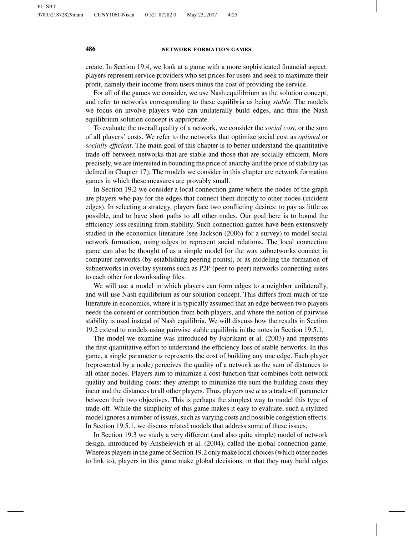create. In Section 19.4, we look at a game with a more sophisticated financial aspect: players represent service providers who set prices for users and seek to maximize their profit, namely their income from users minus the cost of providing the service.

For all of the games we consider, we use Nash equilibrium as the solution concept, and refer to networks corresponding to these equilibria as being *stable*. The models we focus on involve players who can unilaterally build edges, and thus the Nash equilibrium solution concept is appropriate.

To evaluate the overall quality of a network, we consider the *social cost*, or the sum of all players' costs. We refer to the networks that optimize social cost as *optimal* or *socially efficient*. The main goal of this chapter is to better understand the quantitative trade-off between networks that are stable and those that are socially efficient. More precisely, we are interested in bounding the price of anarchy and the price of stability (as defined in Chapter 17). The models we consider in this chapter are network formation games in which these measures are provably small.

In Section 19.2 we consider a local connection game where the nodes of the graph are players who pay for the edges that connect them directly to other nodes (incident edges). In selecting a strategy, players face two conflicting desires: to pay as little as possible, and to have short paths to all other nodes. Our goal here is to bound the efficiency loss resulting from stability. Such connection games have been extensively studied in the economics literature (see Jackson (2006) for a survey) to model social network formation, using edges to represent social relations. The local connection game can also be thought of as a simple model for the way subnetworks connect in computer networks (by establishing peering points), or as modeling the formation of subnetworks in overlay systems such as P2P (peer-to-peer) networks connecting users to each other for downloading files.

We will use a model in which players can form edges to a neighbor unilaterally, and will use Nash equilibrium as our solution concept. This differs from much of the literature in economics, where it is typically assumed that an edge between two players needs the consent or contribution from both players, and where the notion of pairwise stability is used instead of Nash equilibria. We will discuss how the results in Section 19.2 extend to models using pairwise stable equilibria in the notes in Section 19.5.1.

The model we examine was introduced by Fabrikant et al. (2003) and represents the first quantitative effort to understand the efficiency loss of stable networks. In this game, a single parameter  $\alpha$  represents the cost of building any one edge. Each player (represented by a node) perceives the quality of a network as the sum of distances to all other nodes. Players aim to minimize a cost function that combines both network quality and building costs: they attempt to minimize the sum the building costs they incur and the distances to all other players. Thus, players use  $\alpha$  as a trade-off parameter between their two objectives. This is perhaps the simplest way to model this type of trade-off. While the simplicity of this game makes it easy to evaluate, such a stylized model ignores a number of issues, such as varying costs and possible congestion effects. In Section 19.5.1, we discuss related models that address some of these issues.

In Section 19.3 we study a very different (and also quite simple) model of network design, introduced by Anshelevich et al. (2004), called the global connection game. Whereas players in the game of Section 19.2 only make local choices (which other nodes to link to), players in this game make global decisions, in that they may build edges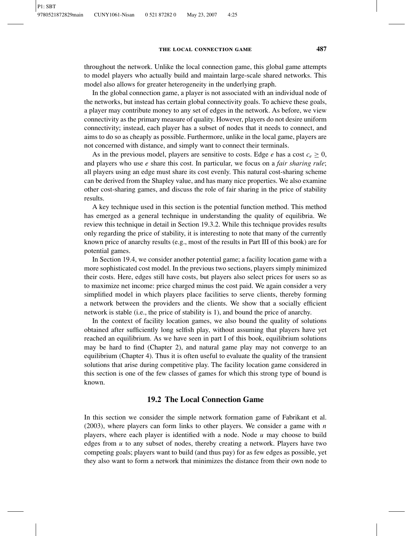# **the local connection game 487**

throughout the network. Unlike the local connection game, this global game attempts to model players who actually build and maintain large-scale shared networks. This model also allows for greater heterogeneity in the underlying graph.

In the global connection game, a player is not associated with an individual node of the networks, but instead has certain global connectivity goals. To achieve these goals, a player may contribute money to any set of edges in the network. As before, we view connectivity as the primary measure of quality. However, players do not desire uniform connectivity; instead, each player has a subset of nodes that it needs to connect, and aims to do so as cheaply as possible. Furthermore, unlike in the local game, players are not concerned with distance, and simply want to connect their terminals.

As in the previous model, players are sensitive to costs. Edge *e* has a cost  $c_e \geq 0$ , and players who use *e* share this cost. In particular, we focus on a *fair sharing rule*; all players using an edge must share its cost evenly. This natural cost-sharing scheme can be derived from the Shapley value, and has many nice properties. We also examine other cost-sharing games, and discuss the role of fair sharing in the price of stability results.

A key technique used in this section is the potential function method. This method has emerged as a general technique in understanding the quality of equilibria. We review this technique in detail in Section 19.3.2. While this technique provides results only regarding the price of stability, it is interesting to note that many of the currently known price of anarchy results (e.g., most of the results in Part III of this book) are for potential games.

In Section 19.4, we consider another potential game; a facility location game with a more sophisticated cost model. In the previous two sections, players simply minimized their costs. Here, edges still have costs, but players also select prices for users so as to maximize net income: price charged minus the cost paid. We again consider a very simplified model in which players place facilities to serve clients, thereby forming a network between the providers and the clients. We show that a socially efficient network is stable (i.e., the price of stability is 1), and bound the price of anarchy.

In the context of facility location games, we also bound the quality of solutions obtained after sufficiently long selfish play, without assuming that players have yet reached an equilibrium. As we have seen in part I of this book, equilibrium solutions may be hard to find (Chapter 2), and natural game play may not converge to an equilibrium (Chapter 4). Thus it is often useful to evaluate the quality of the transient solutions that arise during competitive play. The facility location game considered in this section is one of the few classes of games for which this strong type of bound is known.

# **19.2 The Local Connection Game**

In this section we consider the simple network formation game of Fabrikant et al. (2003), where players can form links to other players. We consider a game with *n* players, where each player is identified with a node. Node *u* may choose to build edges from *u* to any subset of nodes, thereby creating a network. Players have two competing goals; players want to build (and thus pay) for as few edges as possible, yet they also want to form a network that minimizes the distance from their own node to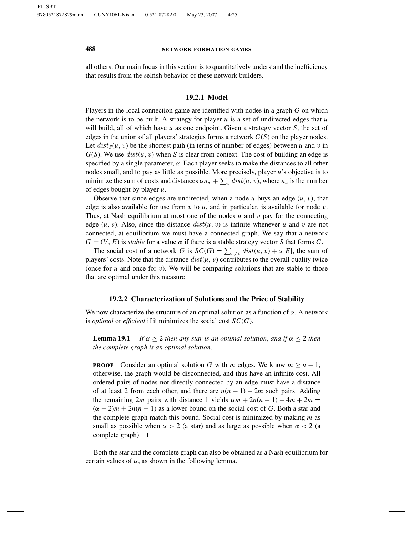all others. Our main focus in this section is to quantitatively understand the inefficiency that results from the selfish behavior of these network builders.

# **19.2.1 Model**

Players in the local connection game are identified with nodes in a graph *G* on which the network is to be built. A strategy for player  $u$  is a set of undirected edges that  $u$ will build, all of which have *u* as one endpoint. Given a strategy vector *S*, the set of edges in the union of all players' strategies forms a network *G*(*S*) on the player nodes. Let  $dist_S(u, v)$  be the shortest path (in terms of number of edges) between *u* and *v* in  $G(S)$ . We use  $dist(u, v)$  when *S* is clear from context. The cost of building an edge is specified by a single parameter,  $\alpha$ . Each player seeks to make the distances to all other nodes small, and to pay as little as possible. More precisely, player *u*'s objective is to minimize the sum of costs and distances  $\alpha n_u + \sum_{v} dist(u, v)$ , where  $n_u$  is the number of edges bought by player *u*.

Observe that since edges are undirected, when a node *u* buys an edge (*u, v*), that edge is also available for use from  $v$  to  $u$ , and in particular, is available for node  $v$ . Thus, at Nash equilibrium at most one of the nodes *u* and *v* pay for the connecting edge  $(u, v)$ . Also, since the distance  $dist(u, v)$  is infinite whenever *u* and *v* are not connected, at equilibrium we must have a connected graph. We say that a network  $G = (V, E)$  is *stable* for a value  $\alpha$  if there is a stable strategy vector *S* that forms *G*.

The social cost of a network *G* is  $SC(G) = \sum_{u \neq v} dist(u, v) + \alpha |E|$ , the sum of players' costs. Note that the distance  $dist(u, v)$  contributes to the overall quality twice (once for  $u$  and once for  $v$ ). We will be comparing solutions that are stable to those that are optimal under this measure.

#### **19.2.2 Characterization of Solutions and the Price of Stability**

We now characterize the structure of an optimal solution as a function of  $\alpha$ . A network is *optimal* or *efficient* if it minimizes the social cost *SC*(*G*).

**Lemma 19.1** *If*  $\alpha \geq 2$  *then any star is an optimal solution, and if*  $\alpha \leq 2$  *then the complete graph is an optimal solution.*

**proof** Consider an optimal solution *G* with *m* edges. We know  $m \ge n - 1$ ; otherwise, the graph would be disconnected, and thus have an infinite cost. All ordered pairs of nodes not directly connected by an edge must have a distance of at least 2 from each other, and there are  $n(n - 1) - 2m$  such pairs. Adding the remaining 2*m* pairs with distance 1 yields  $\alpha m + 2n(n-1) - 4m + 2m =$  $(\alpha - 2)m + 2n(n - 1)$  as a lower bound on the social cost of *G*. Both a star and the complete graph match this bound. Social cost is minimized by making *m* as small as possible when  $\alpha > 2$  (a star) and as large as possible when  $\alpha < 2$  (a complete graph).  $\square$ 

Both the star and the complete graph can also be obtained as a Nash equilibrium for certain values of  $\alpha$ , as shown in the following lemma.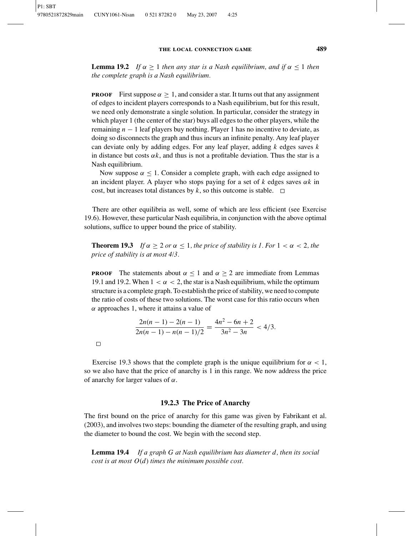# **the local connection game 489**

**Lemma 19.2** *If*  $\alpha \ge 1$  *then any star is a Nash equilibrium, and if*  $\alpha \le 1$  *then the complete graph is a Nash equilibrium.*

**PROOF** First suppose  $\alpha > 1$ , and consider a star. It turns out that any assignment of edges to incident players corresponds to a Nash equilibrium, but for this result, we need only demonstrate a single solution. In particular, consider the strategy in which player 1 (the center of the star) buys all edges to the other players, while the remaining *n* − 1 leaf players buy nothing. Player 1 has no incentive to deviate, as doing so disconnects the graph and thus incurs an infinite penalty. Any leaf player can deviate only by adding edges. For any leaf player, adding *k* edges saves *k* in distance but costs  $\alpha k$ , and thus is not a profitable deviation. Thus the star is a Nash equilibrium.

Now suppose  $\alpha \leq 1$ . Consider a complete graph, with each edge assigned to an incident player. A player who stops paying for a set of *k* edges saves *αk* in cost, but increases total distances by  $k$ , so this outcome is stable.  $\square$ 

There are other equilibria as well, some of which are less efficient (see Exercise 19.6). However, these particular Nash equilibria, in conjunction with the above optimal solutions, suffice to upper bound the price of stability.

**Theorem 19.3** *If*  $\alpha \geq 2$  *or*  $\alpha \leq 1$ *, the price of stability is 1. For*  $1 < \alpha < 2$ *, the price of stability is at most 4/3.*

**PROOF** The statements about  $\alpha \leq 1$  and  $\alpha \geq 2$  are immediate from Lemmas 19.1 and 19.2. When  $1 < \alpha < 2$ , the star is a Nash equilibrium, while the optimum structure is a complete graph. To establish the price of stability, we need to compute the ratio of costs of these two solutions. The worst case for this ratio occurs when *α* approaches 1, where it attains a value of

$$
\frac{2n(n-1)-2(n-1)}{2n(n-1)-n(n-1)/2} = \frac{4n^2-6n+2}{3n^2-3n} < \frac{4}{3}.
$$

 $\Box$ 

Exercise 19.3 shows that the complete graph is the unique equilibrium for  $\alpha < 1$ , so we also have that the price of anarchy is 1 in this range. We now address the price of anarchy for larger values of *α*.

## **19.2.3 The Price of Anarchy**

The first bound on the price of anarchy for this game was given by Fabrikant et al. (2003), and involves two steps: bounding the diameter of the resulting graph, and using the diameter to bound the cost. We begin with the second step.

**Lemma 19.4** *If a graph G at Nash equilibrium has diameter d, then its social cost is at most O*(*d*) *times the minimum possible cost.*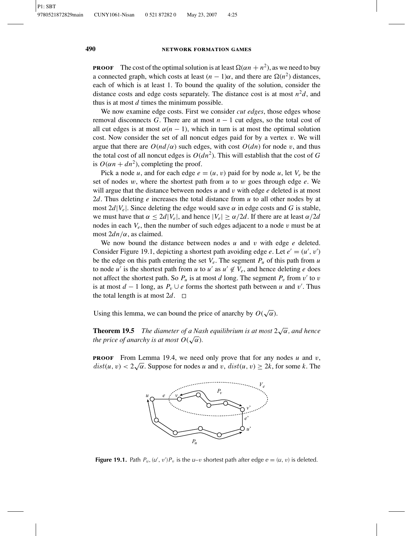**PROOF** The cost of the optimal solution is at least  $\Omega(\alpha n + n^2)$ , as we need to buy a connected graph, which costs at least  $(n - 1)\alpha$ , and there are  $\Omega(n^2)$  distances, each of which is at least 1. To bound the quality of the solution, consider the distance costs and edge costs separately. The distance cost is at most  $n^2d$ , and thus is at most *d* times the minimum possible.

We now examine edge costs. First we consider *cut edges*, those edges whose removal disconnects *G*. There are at most  $n - 1$  cut edges, so the total cost of all cut edges is at most  $\alpha(n - 1)$ , which in turn is at most the optimal solution cost. Now consider the set of all noncut edges paid for by a vertex *v*. We will argue that there are  $O(nd/\alpha)$  such edges, with cost  $O(dn)$  for node *v*, and thus the total cost of all noncut edges is  $O(dn^2)$ . This will establish that the cost of *G* is  $O(\alpha n + dn^2)$ , completing the proof.

Pick a node *u*, and for each edge  $e = (u, v)$  paid for by node *u*, let  $V_e$  be the set of nodes *w*, where the shortest path from *u* to *w* goes through edge *e*. We will argue that the distance between nodes *u* and *v* with edge *e* deleted is at most 2*d*. Thus deleting *e* increases the total distance from *u* to all other nodes by at most  $2d|V_e|$ . Since deleting the edge would save  $\alpha$  in edge costs and *G* is stable, we must have that  $\alpha \leq 2d|V_e|$ , and hence  $|V_e| \geq \alpha/2d$ . If there are at least  $\alpha/2d$ nodes in each *Ve*, then the number of such edges adjacent to a node *v* must be at most 2*dn/α*, as claimed.

We now bound the distance between nodes *u* and *v* with edge *e* deleted. Consider Figure 19.1, depicting a shortest path avoiding edge *e*. Let  $e' = (u', v')$ be the edge on this path entering the set  $V_e$ . The segment  $P_u$  of this path from *u* to node *u'* is the shortest path from *u* to *u'* as  $u' \notin V_e$ , and hence deleting *e* does not affect the shortest path. So  $P_u$  is at most *d* long. The segment  $P_v$  from  $v'$  to  $v$ is at most  $d - 1$  long, as  $P_v \cup e$  forms the shortest path between *u* and *v'*. Thus the total length is at most  $2d$ .  $\Box$ 

Using this lemma, we can bound the price of anarchy by  $O(\sqrt{\alpha})$ .

**Theorem 19.5** *The diameter of a Nash equilibrium is at most* 2 <sup>√</sup>*α, and hence the price of anarchy is at most*  $O(\sqrt{\alpha})$ *.* 

**PROOF** From Lemma 19.4, we need only prove that for any nodes *u* and *v*, *dist(u, v)*  $\lt 2\sqrt{\alpha}$ . Suppose for nodes *u* and *v*,  $dist(u, v) \ge 2k$ , for some *k*. The



**Figure 19.1.** Path  $P_u$ ,  $(u', v')P_v$  is the  $u-v$  shortest path after edge  $e = (u, v)$  is deleted.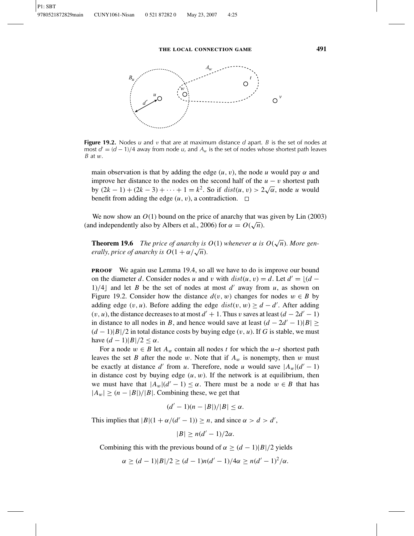# **the local connection game 491**



**Figure 19.2.** Nodes *u* and v that are at maximum distance *d* apart. *B* is the set of nodes at most  $d' = (d - 1)/4$  away from node *u*, and  $A_w$  is the set of nodes whose shortest path leaves *B* at w.

main observation is that by adding the edge  $(u, v)$ , the node  $u$  would pay  $\alpha$  and improve her distance to the nodes on the second half of the  $u - v$  shortest path by  $(2k - 1) + (2k - 3) + \cdots + 1 = k^2$ . So if  $dist(u, v) > 2\sqrt{\alpha}$ , node *u* would benefit from adding the edge  $(u, v)$ , a contradiction.  $\Box$ 

We now show an  $O(1)$  bound on the price of anarchy that was given by Lin  $(2003)$ (and independently also by Albers et al., 2006) for  $\alpha = O(\sqrt{n})$ .

**Theorem 19.6** *The price of anarchy is*  $O(1)$  *whenever*  $\alpha$  *is*  $O(\sqrt{n})$ *. More generally, price of anarchy is*  $O(1 + \alpha/\sqrt{n})$ .

**PROOF** We again use Lemma 19.4, so all we have to do is improve our bound on the diameter *d*. Consider nodes *u* and *v* with  $dist(u, v) = d$ . Let  $d' = |(d - v)|$ 1)/4 and let *B* be the set of nodes at most  $d'$  away from *u*, as shown on Figure 19.2. Consider how the distance  $d(v, w)$  changes for nodes  $w \in B$  by adding edge  $(v, u)$ . Before adding the edge  $dist(v, w) \ge d - d'$ . After adding  $(v, u)$ , the distance decreases to at most  $d' + 1$ . Thus *v* saves at least  $(d - 2d' - 1)$ in distance to all nodes in *B*, and hence would save at least  $(d - 2d' - 1)|B|$  ≥  $(d-1)|B|/2$  in total distance costs by buying edge  $(v, u)$ . If *G* is stable, we must  $have (d − 1)|B|/2 < α$ .

For a node  $w \in B$  let  $A_w$  contain all nodes *t* for which the  $u-t$  shortest path leaves the set *B* after the node *w*. Note that if  $A_w$  is nonempty, then *w* must be exactly at distance *d'* from *u*. Therefore, node *u* would save  $|A_w|(d'-1)$ in distance cost by buying edge  $(u, w)$ . If the network is at equilibrium, then we must have that  $|A_w|(d'-1) < \alpha$ . There must be a node  $w \in B$  that has  $|A_w| \geq (n - |B|)/|B|$ . Combining these, we get that

$$
(d'-1)(n-|B|)/|B| \leq \alpha.
$$

This implies that  $|B|(1 + \alpha/(d' - 1)) \ge n$ , and since  $\alpha > d > d'$ ,

$$
|B| \ge n(d'-1)/2\alpha.
$$

Combining this with the previous bound of  $\alpha \ge (d-1)|B|/2$  yields

$$
\alpha \ge (d-1)|B|/2 \ge (d-1)n(d'-1)/4\alpha \ge n(d'-1)^2/\alpha.
$$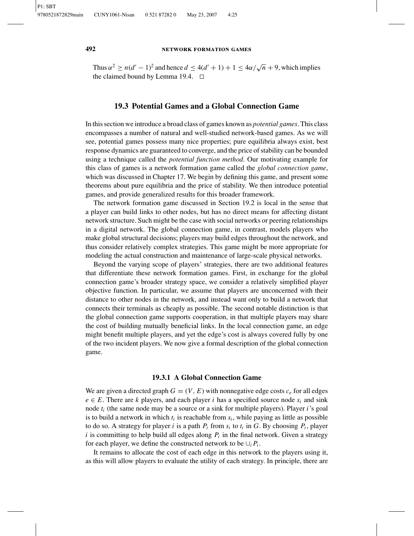Thus  $\alpha^2 \ge n(d'-1)^2$  and hence  $d \le 4(d'+1)+1 \le 4\alpha/\sqrt{n}+9$ , which implies the claimed bound by Lemma 19.4.  $\Box$ 

# **19.3 Potential Games and a Global Connection Game**

In this section we introduce a broad class of games known as *potential games*. This class encompasses a number of natural and well-studied network-based games. As we will see, potential games possess many nice properties; pure equilibria always exist, best response dynamics are guaranteed to converge, and the price of stability can be bounded using a technique called the *potential function method*. Our motivating example for this class of games is a network formation game called the *global connection game*, which was discussed in Chapter 17. We begin by defining this game, and present some theorems about pure equilibria and the price of stability. We then introduce potential games, and provide generalized results for this broader framework.

The network formation game discussed in Section 19.2 is local in the sense that a player can build links to other nodes, but has no direct means for affecting distant network structure. Such might be the case with social networks or peering relationships in a digital network. The global connection game, in contrast, models players who make global structural decisions; players may build edges throughout the network, and thus consider relatively complex strategies. This game might be more appropriate for modeling the actual construction and maintenance of large-scale physical networks.

Beyond the varying scope of players' strategies, there are two additional features that differentiate these network formation games. First, in exchange for the global connection game's broader strategy space, we consider a relatively simplified player objective function. In particular, we assume that players are unconcerned with their distance to other nodes in the network, and instead want only to build a network that connects their terminals as cheaply as possible. The second notable distinction is that the global connection game supports cooperation, in that multiple players may share the cost of building mutually beneficial links. In the local connection game, an edge might benefit multiple players, and yet the edge's cost is always covered fully by one of the two incident players. We now give a formal description of the global connection game.

# **19.3.1 A Global Connection Game**

We are given a directed graph  $G = (V, E)$  with nonnegative edge costs  $c_e$  for all edges  $e \in E$ . There are *k* players, and each player *i* has a specified source node  $s_i$  and sink node *ti* (the same node may be a source or a sink for multiple players). Player *i*'s goal is to build a network in which  $t_i$  is reachable from  $s_i$ , while paying as little as possible to do so. A strategy for player *i* is a path  $P_i$  from  $s_i$  to  $t_i$  in G. By choosing  $P_i$ , player  $i$  is committing to help build all edges along  $P_i$  in the final network. Given a strategy for each player, we define the constructed network to be  $\cup_i P_i$ .

It remains to allocate the cost of each edge in this network to the players using it, as this will allow players to evaluate the utility of each strategy. In principle, there are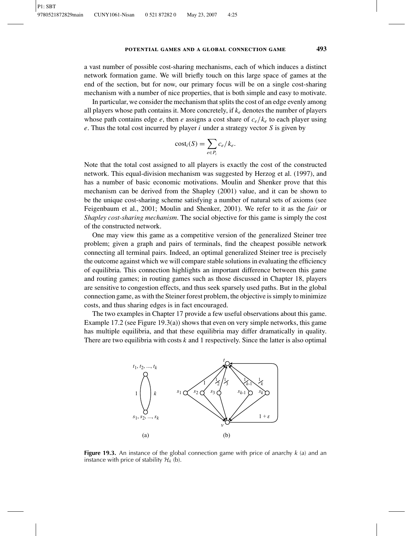# **potential games and a global connection game 493**

a vast number of possible cost-sharing mechanisms, each of which induces a distinct network formation game. We will briefly touch on this large space of games at the end of the section, but for now, our primary focus will be on a single cost-sharing mechanism with a number of nice properties, that is both simple and easy to motivate.

In particular, we consider the mechanism that splits the cost of an edge evenly among all players whose path contains it. More concretely, if  $k_e$  denotes the number of players whose path contains edge  $e$ , then  $e$  assigns a cost share of  $c_e/k_e$  to each player using *e*. Thus the total cost incurred by player *i* under a strategy vector *S* is given by

$$
costi(S) = \sum_{e \in P_i} c_e / k_e.
$$

Note that the total cost assigned to all players is exactly the cost of the constructed network. This equal-division mechanism was suggested by Herzog et al. (1997), and has a number of basic economic motivations. Moulin and Shenker prove that this mechanism can be derived from the Shapley (2001) value, and it can be shown to be the unique cost-sharing scheme satisfying a number of natural sets of axioms (see Feigenbaum et al., 2001; Moulin and Shenker, 2001). We refer to it as the *fair* or *Shapley cost-sharing mechanism*. The social objective for this game is simply the cost of the constructed network.

One may view this game as a competitive version of the generalized Steiner tree problem; given a graph and pairs of terminals, find the cheapest possible network connecting all terminal pairs. Indeed, an optimal generalized Steiner tree is precisely the outcome against which we will compare stable solutions in evaluating the efficiency of equilibria. This connection highlights an important difference between this game and routing games; in routing games such as those discussed in Chapter 18, players are sensitive to congestion effects, and thus seek sparsely used paths. But in the global connection game, as with the Steiner forest problem, the objective is simply to minimize costs, and thus sharing edges is in fact encouraged.

The two examples in Chapter 17 provide a few useful observations about this game. Example 17.2 (see Figure 19.3(a)) shows that even on very simple networks, this game has multiple equilibria, and that these equilibria may differ dramatically in quality. There are two equilibria with costs *k* and 1 respectively. Since the latter is also optimal



**Figure 19.3.** An instance of the global connection game with price of anarchy *k* (a) and an instance with price of stability  $\mathcal{H}_k$  (b).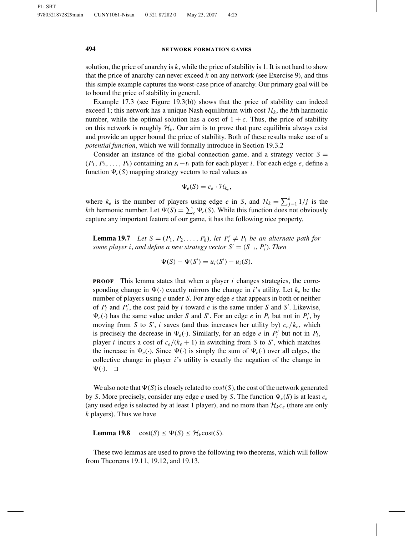solution, the price of anarchy is *k*, while the price of stability is 1. It is not hard to show that the price of anarchy can never exceed *k* on any network (see Exercise 9), and thus this simple example captures the worst-case price of anarchy. Our primary goal will be to bound the price of stability in general.

Example 17.3 (see Figure 19.3(b)) shows that the price of stability can indeed exceed 1; this network has a unique Nash equilibrium with cost  $\mathcal{H}_k$ , the *k*th harmonic number, while the optimal solution has a cost of  $1 + \epsilon$ . Thus, the price of stability on this network is roughly  $\mathcal{H}_k$ . Our aim is to prove that pure equilibria always exist and provide an upper bound the price of stability. Both of these results make use of a *potential function*, which we will formally introduce in Section 19.3.2

Consider an instance of the global connection game, and a strategy vector  $S =$  $(P_1, P_2, \ldots, P_k)$  containing an  $s_i - t_i$  path for each player *i*. For each edge *e*, define a function  $\Psi_e(S)$  mapping strategy vectors to real values as

$$
\Psi_e(S) = c_e \cdot \mathcal{H}_{k_e},
$$

where  $k_e$  is the number of players using edge *e* in *S*, and  $\mathcal{H}_k = \sum_{j=1}^k 1/j$  is the *k*th harmonic number. Let  $\Psi(S) = \sum_{e} \Psi_e(S)$ . While this function does not obviously capture any important feature of our game, it has the following nice property.

**Lemma 19.7** *Let*  $S = (P_1, P_2, \ldots, P_k)$ *, let*  $P'_i \neq P_i$  *be an alternate path for some player i*, and define a new strategy vector  $S' = (S_{-i}, P'_i)$ . Then

$$
\Psi(S) - \Psi(S') = u_i(S') - u_i(S).
$$

**proof** This lemma states that when a player *i* changes strategies, the corresponding change in  $\Psi(\cdot)$  exactly mirrors the change in *i*'s utility. Let  $k_e$  be the number of players using *e* under *S*. For any edge *e* that appears in both or neither of  $P_i$  and  $P'_i$ , the cost paid by *i* toward *e* is the same under *S* and *S'*. Likewise,  $\Psi_e(\cdot)$  has the same value under *S* and *S'*. For an edge *e* in  $P_i$  but not in  $P'_i$ , by moving from *S* to *S'*, *i* saves (and thus increases her utility by)  $c_e/k_e$ , which is precisely the decrease in  $\Psi_e(\cdot)$ . Similarly, for an edge *e* in  $P_i'$  but not in  $P_i$ , player *i* incurs a cost of  $c_e/(k_e + 1)$  in switching from *S* to *S'*, which matches the increase in  $\Psi_e(\cdot)$ . Since  $\Psi(\cdot)$  is simply the sum of  $\Psi_e(\cdot)$  over all edges, the collective change in player *i*'s utility is exactly the negation of the change in  $\Psi(\cdot)$ .  $\Box$ 

We also note that  $\Psi(S)$  is closely related to  $cost(S)$ , the cost of the network generated by *S*. More precisely, consider any edge *e* used by *S*. The function  $\Psi_e(S)$  is at least  $c_e$ (any used edge is selected by at least 1 player), and no more than  $\mathcal{H}_{k}c_{e}$  (there are only *k* players). Thus we have

**Lemma 19.8** cost(*S*)  $\leq \Psi(S) \leq H_k \text{cost}(S)$ *.* 

These two lemmas are used to prove the following two theorems, which will follow from Theorems 19.11, 19.12, and 19.13.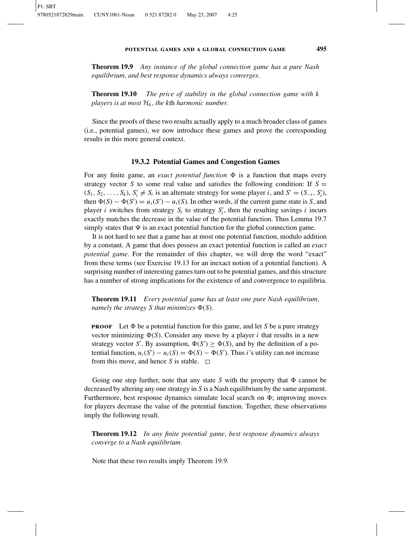# **potential games and a global connection game 495**

**Theorem 19.9** *Any instance of the global connection game has a pure Nash equilibrium, and best response dynamics always converges.*

**Theorem 19.10** *The price of stability in the global connection game with k players is at most*  $\mathcal{H}_k$ *, the kth harmonic number.* 

Since the proofs of these two results actually apply to a much broader class of games (i.e., potential games), we now introduce these games and prove the corresponding results in this more general context.

#### **19.3.2 Potential Games and Congestion Games**

For any finite game, an *exact potential function*  $\Phi$  is a function that maps every strategy vector *S* to some real value and satisfies the following condition: If  $S =$  $(S_1, S_2, \ldots, S_k)$ ,  $S'_i \neq S_i$  is an alternate strategy for some player *i*, and  $S' = (S_{-i}, S'_i)$ , then  $\Phi(S) - \Phi(S') = u_i(S') - u_i(S)$ . In other words, if the current game state is *S*, and player *i* switches from strategy  $S_i$  to strategy  $S'_i$ , then the resulting savings *i* incurs exactly matches the decrease in the value of the potential function. Thus Lemma 19.7 simply states that  $\Psi$  is an exact potential function for the global connection game.

It is not hard to see that a game has at most one potential function, modulo addition by a constant. A game that does possess an exact potential function is called an *exact potential game*. For the remainder of this chapter, we will drop the word "exact" from these terms (see Exercise 19.13 for an inexact notion of a potential function). A surprising number of interesting games turn out to be potential games, and this structure has a number of strong implications for the existence of and convergence to equilibria.

**Theorem 19.11** *Every potential game has at least one pure Nash equilibrium, namely the strategy S that minimizes*  $\Phi(S)$ *.* 

**PROOF** Let  $\Phi$  be a potential function for this game, and let *S* be a pure strategy vector minimizing  $\Phi(S)$ . Consider any move by a player *i* that results in a new strategy vector *S'*. By assumption,  $\Phi(S') \ge \Phi(S)$ , and by the definition of a potential function,  $u_i(S') - u_i(S) = \Phi(S) - \Phi(S')$ . Thus *i*'s utility can not increase from this move, and hence *S* is stable.  $\square$ 

Going one step further, note that any state  $S$  with the property that  $\Phi$  cannot be decreased by altering any one strategy in *S* is a Nash equilibrium by the same argument. Furthermore, best response dynamics simulate local search on  $\Phi$ ; improving moves for players decrease the value of the potential function. Together, these observations imply the following result.

**Theorem 19.12** *In any finite potential game, best response dynamics always converge to a Nash equilibrium.*

Note that these two results imply Theorem 19.9.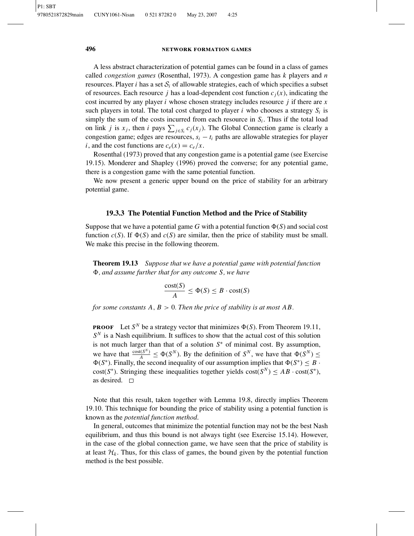A less abstract characterization of potential games can be found in a class of games called *congestion games* (Rosenthal, 1973). A congestion game has *k* players and *n* resources. Player *i* has a set  $S_i$  of allowable strategies, each of which specifies a subset of resources. Each resource *j* has a load-dependent cost function  $c_j(x)$ , indicating the cost incurred by any player *i* whose chosen strategy includes resource *j* if there are *x* such players in total. The total cost charged to player *i* who chooses a strategy  $S_i$  is simply the sum of the costs incurred from each resource in  $S_i$ . Thus if the total load on link *j* is  $x_j$ , then *i* pays  $\sum_{j \in S_i} c_j(x_j)$ . The Global Connection game is clearly a congestion game; edges are resources,  $s_i - t_i$  paths are allowable strategies for player *i*, and the cost functions are  $c_e(x) = c_e/x$ .

Rosenthal (1973) proved that any congestion game is a potential game (see Exercise 19.15). Monderer and Shapley (1996) proved the converse; for any potential game, there is a congestion game with the same potential function.

We now present a generic upper bound on the price of stability for an arbitrary potential game.

#### **19.3.3 The Potential Function Method and the Price of Stability**

Suppose that we have a potential game *G* with a potential function  $\Phi(S)$  and social cost function  $c(S)$ . If  $\Phi(S)$  and  $c(S)$  are similar, then the price of stability must be small. We make this precise in the following theorem.

**Theorem 19.13** *Suppose that we have a potential game with potential function , and assume further that for any outcome S, we have*

$$
\frac{\mathrm{cost}(S)}{A} \le \Phi(S) \le B \cdot \mathrm{cost}(S)
$$

*for some constants*  $A, B > 0$ *. Then the price of stability is at most*  $AB$ *.* 

**PROOF** Let  $S^N$  be a strategy vector that minimizes  $\Phi(S)$ . From Theorem 19.11,  $S<sup>N</sup>$  is a Nash equilibrium. It suffices to show that the actual cost of this solution is not much larger than that of a solution *S*<sup>∗</sup> of minimal cost. By assumption, we have that  $\frac{\cos(tS^N)}{A} \leq \Phi(S^N)$ . By the definition of  $S^N$ , we have that  $\Phi(S^N) \leq$  $\Phi(S^*)$ . Finally, the second inequality of our assumption implies that  $\Phi(S^*) \leq B$ . cost(*S*<sup>\*</sup>). Stringing these inequalities together yields  $cost(S^N) \leq AB \cdot cost(S^*)$ , as desired.  $\square$ 

Note that this result, taken together with Lemma 19.8, directly implies Theorem 19.10. This technique for bounding the price of stability using a potential function is known as the *potential function method*.

In general, outcomes that minimize the potential function may not be the best Nash equilibrium, and thus this bound is not always tight (see Exercise 15.14). However, in the case of the global connection game, we have seen that the price of stability is at least  $\mathcal{H}_k$ . Thus, for this class of games, the bound given by the potential function method is the best possible.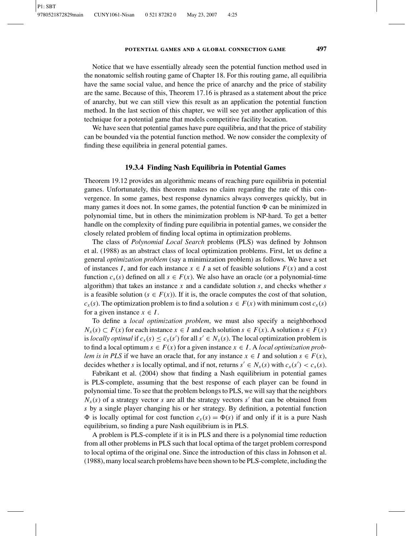# **potential games and a global connection game 497**

Notice that we have essentially already seen the potential function method used in the nonatomic selfish routing game of Chapter 18. For this routing game, all equilibria have the same social value, and hence the price of anarchy and the price of stability are the same. Because of this, Theorem 17.16 is phrased as a statement about the price of anarchy, but we can still view this result as an application the potential function method. In the last section of this chapter, we will see yet another application of this technique for a potential game that models competitive facility location.

We have seen that potential games have pure equilibria, and that the price of stability can be bounded via the potential function method. We now consider the complexity of finding these equilibria in general potential games.

#### **19.3.4 Finding Nash Equilibria in Potential Games**

Theorem 19.12 provides an algorithmic means of reaching pure equilibria in potential games. Unfortunately, this theorem makes no claim regarding the rate of this convergence. In some games, best response dynamics always converges quickly, but in many games it does not. In some games, the potential function  $\Phi$  can be minimized in polynomial time, but in others the minimization problem is NP-hard. To get a better handle on the complexity of finding pure equilibria in potential games, we consider the closely related problem of finding local optima in optimization problems.

The class of *Polynomial Local Search* problems (PLS) was defined by Johnson et al. (1988) as an abstract class of local optimization problems. First, let us define a general *optimization problem* (say a minimization problem) as follows. We have a set of instances *I*, and for each instance  $x \in I$  a set of feasible solutions  $F(x)$  and a cost function  $c_x(s)$  defined on all  $s \in F(x)$ . We also have an oracle (or a polynomial-time algorithm) that takes an instance *x* and a candidate solution *s*, and checks whether *s* is a feasible solution ( $s \in F(x)$ ). If it is, the oracle computes the cost of that solution,  $c_x(s)$ . The optimization problem is to find a solution  $s \in F(x)$  with minimum cost  $c_x(s)$ for a given instance  $x \in I$ .

To define a *local optimization problem*, we must also specify a neighborhood  $N_x(s) \subset F(x)$  for each instance  $x \in I$  and each solution  $s \in F(x)$ . A solution  $s \in F(x)$ is *locally optimal* if  $c_x(s) \leq c_x(s')$  for all  $s' \in N_x(s)$ . The local optimization problem is to find a local optimum  $s \in F(x)$  for a given instance  $x \in I$ . A *local optimization problem is in PLS* if we have an oracle that, for any instance  $x \in I$  and solution  $s \in F(x)$ , decides whether *s* is locally optimal, and if not, returns  $s' \in N_x(s)$  with  $c_x(s') < c_x(s)$ .

Fabrikant et al. (2004) show that finding a Nash equilibrium in potential games is PLS-complete, assuming that the best response of each player can be found in polynomial time. To see that the problem belongs to PLS, we will say that the neighbors  $N<sub>x</sub>(s)$  of a strategy vector *s* are all the strategy vectors *s'* that can be obtained from *s* by a single player changing his or her strategy. By definition, a potential function  $\Phi$  is locally optimal for cost function  $c_x(s) = \Phi(s)$  if and only if it is a pure Nash equilibrium, so finding a pure Nash equilibrium is in PLS.

A problem is PLS-complete if it is in PLS and there is a polynomial time reduction from all other problems in PLS such that local optima of the target problem correspond to local optima of the original one. Since the introduction of this class in Johnson et al. (1988), many local search problems have been shown to be PLS-complete, including the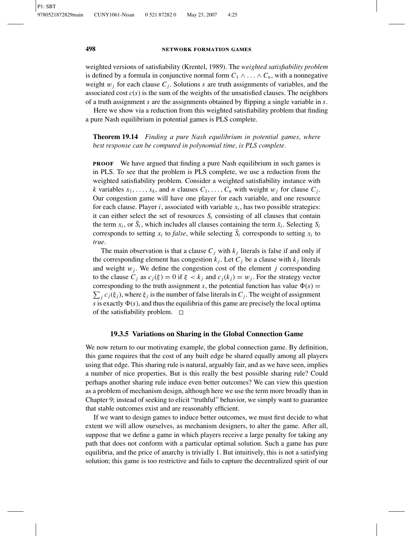weighted versions of satisfiability (Krentel, 1989). The *weighted satisfiability problem* is defined by a formula in conjunctive normal form  $C_1 \wedge \ldots \wedge C_n$ , with a nonnegative weight  $w_j$  for each clause  $C_j$ . Solutions *s* are truth assignments of variables, and the associated cost  $c(s)$  is the sum of the weights of the unsatisfied clauses. The neighbors of a truth assignment *s* are the assignments obtained by flipping a single variable in *s*.

Here we show via a reduction from this weighted satisfiability problem that finding a pure Nash equilibrium in potential games is PLS complete.

**Theorem 19.14** *Finding a pure Nash equilibrium in potential games, where best response can be computed in polynomial time, is PLS complete.*

**PROOF** We have argued that finding a pure Nash equilibrium in such games is in PLS. To see that the problem is PLS complete, we use a reduction from the weighted satisfiability problem. Consider a weighted satisfiability instance with *k* variables  $x_1, \ldots, x_k$ , and *n* clauses  $C_1, \ldots, C_n$  with weight  $w_j$  for clause  $C_j$ . Our congestion game will have one player for each variable, and one resource for each clause. Player  $i$ , associated with variable  $x_i$ , has two possible strategies: it can either select the set of resources  $S_i$  consisting of all clauses that contain the term  $x_i$ , or  $\bar{S}_i$ , which includes all clauses containing the term  $\bar{x}_i$ . Selecting  $S_i$ corresponds to setting  $x_i$  to *false*, while selecting  $\overline{S}_i$  corresponds to setting  $x_i$  to *true*.

The main observation is that a clause  $C_i$  with  $k_j$  literals is false if and only if the corresponding element has congestion  $k_j$ . Let  $C_j$  be a clause with  $k_j$  literals and weight  $w_j$ . We define the congestion cost of the element *j* corresponding to the clause  $C_j$  as  $c_j(\xi) = 0$  if  $\xi < k_j$  and  $c_j(k_j) = w_j$ . For the strategy vector corresponding to the truth assignment *s*, the potential function has value  $\Phi(s)$  =  $\sum_j c_j(\xi_j)$ , where  $\xi_j$  is the number of false literals in  $C_j$ . The weight of assignment *s* is exactly  $\Phi(s)$ , and thus the equilibria of this game are precisely the local optima of the satisfiability problem.  $\square$ 

# **19.3.5 Variations on Sharing in the Global Connection Game**

We now return to our motivating example, the global connection game. By definition, this game requires that the cost of any built edge be shared equally among all players using that edge. This sharing rule is natural, arguably fair, and as we have seen, implies a number of nice properties. But is this really the best possible sharing rule? Could perhaps another sharing rule induce even better outcomes? We can view this question as a problem of mechanism design, although here we use the term more broadly than in Chapter 9; instead of seeking to elicit "truthful" behavior, we simply want to guarantee that stable outcomes exist and are reasonably efficient.

If we want to design games to induce better outcomes, we must first decide to what extent we will allow ourselves, as mechanism designers, to alter the game. After all, suppose that we define a game in which players receive a large penalty for taking any path that does not conform with a particular optimal solution. Such a game has pure equilibria, and the price of anarchy is trivially 1. But intuitively, this is not a satisfying solution; this game is too restrictive and fails to capture the decentralized spirit of our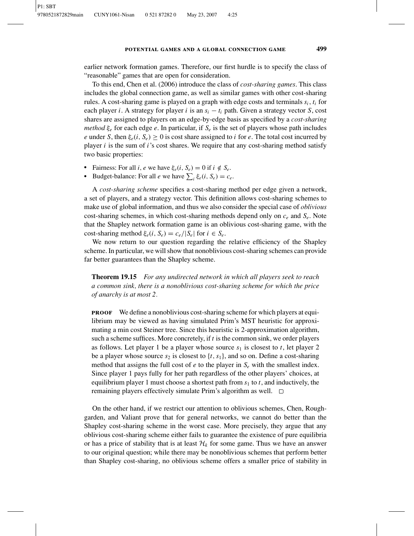# **potential games and a global connection game 499**

earlier network formation games. Therefore, our first hurdle is to specify the class of "reasonable" games that are open for consideration.

To this end, Chen et al. (2006) introduce the class of *cost-sharing games*. This class includes the global connection game, as well as similar games with other cost-sharing rules. A cost-sharing game is played on a graph with edge costs and terminals *si, ti* for each player *i*. A strategy for player *i* is an  $s_i - t_i$  path. Given a strategy vector *S*, cost shares are assigned to players on an edge-by-edge basis as specified by a *cost-sharing method*  $\xi_e$  for each edge *e*. In particular, if  $S_e$  is the set of players whose path includes *e* under *S*, then  $\xi_e$ (*i*,  $S_e$ )  $\geq$  0 is cost share assigned to *i* for *e*. The total cost incurred by player  $i$  is the sum of  $i$ 's cost shares. We require that any cost-sharing method satisfy two basic properties:

- Fairness: For all *i*, *e* we have  $\xi_e(i, S_e) = 0$  if  $i \notin S_e$ .
- Budget-balance: For all *e* we have  $\sum_i \xi_e(i, S_e) = c_e$ .

A *cost-sharing scheme* specifies a cost-sharing method per edge given a network, a set of players, and a strategy vector. This definition allows cost-sharing schemes to make use of global information, and thus we also consider the special case of *oblivious* cost-sharing schemes, in which cost-sharing methods depend only on *ce* and *Se*. Note that the Shapley network formation game is an oblivious cost-sharing game, with the cost-sharing method  $\xi_e(i, S_e) = c_e/|S_e|$  for  $i \in S_e$ .

We now return to our question regarding the relative efficiency of the Shapley scheme. In particular, we will show that nonoblivious cost-sharing schemes can provide far better guarantees than the Shapley scheme.

**Theorem 19.15** *For any undirected network in which all players seek to reach a common sink, there is a nonoblivious cost-sharing scheme for which the price of anarchy is at most 2.*

**PROOF** We define a nonoblivious cost-sharing scheme for which players at equilibrium may be viewed as having simulated Prim's MST heuristic for approximating a min cost Steiner tree. Since this heuristic is 2-approximation algorithm, such a scheme suffices. More concretely, if *t* is the common sink, we order players as follows. Let player 1 be a player whose source  $s_1$  is closest to *t*, let player 2 be a player whose source  $s_2$  is closest to  $\{t, s_1\}$ , and so on. Define a cost-sharing method that assigns the full cost of *e* to the player in *Se* with the smallest index. Since player 1 pays fully for her path regardless of the other players' choices, at equilibrium player 1 must choose a shortest path from  $s_1$  to  $t$ , and inductively, the remaining players effectively simulate Prim's algorithm as well.  $\Box$ 

On the other hand, if we restrict our attention to oblivious schemes, Chen, Roughgarden, and Valiant prove that for general networks, we cannot do better than the Shapley cost-sharing scheme in the worst case. More precisely, they argue that any oblivious cost-sharing scheme either fails to guarantee the existence of pure equilibria or has a price of stability that is at least  $\mathcal{H}_k$  for some game. Thus we have an answer to our original question; while there may be nonoblivious schemes that perform better than Shapley cost-sharing, no oblivious scheme offers a smaller price of stability in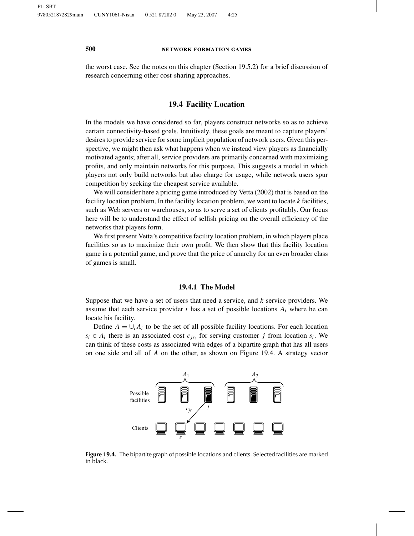the worst case. See the notes on this chapter (Section 19.5.2) for a brief discussion of research concerning other cost-sharing approaches.

# **19.4 Facility Location**

In the models we have considered so far, players construct networks so as to achieve certain connectivity-based goals. Intuitively, these goals are meant to capture players' desires to provide service for some implicit population of network users. Given this perspective, we might then ask what happens when we instead view players as financially motivated agents; after all, service providers are primarily concerned with maximizing profits, and only maintain networks for this purpose. This suggests a model in which players not only build networks but also charge for usage, while network users spur competition by seeking the cheapest service available.

We will consider here a pricing game introduced by Vetta (2002) that is based on the facility location problem. In the facility location problem, we want to locate *k* facilities, such as Web servers or warehouses, so as to serve a set of clients profitably. Our focus here will be to understand the effect of selfish pricing on the overall efficiency of the networks that players form.

We first present Vetta's competitive facility location problem, in which players place facilities so as to maximize their own profit. We then show that this facility location game is a potential game, and prove that the price of anarchy for an even broader class of games is small.

### **19.4.1 The Model**

Suppose that we have a set of users that need a service, and *k* service providers. We assume that each service provider  $i$  has a set of possible locations  $A_i$  where he can locate his facility.

Define  $A = \bigcup_i A_i$  to be the set of all possible facility locations. For each location  $s_i \in A_i$  there is an associated cost  $c_{j s_i}$  for serving customer *j* from location  $s_i$ . We can think of these costs as associated with edges of a bipartite graph that has all users on one side and all of *A* on the other, as shown on Figure 19.4. A strategy vector



**Figure 19.4.** The bipartite graph of possible locations and clients. Selected facilities are marked in black.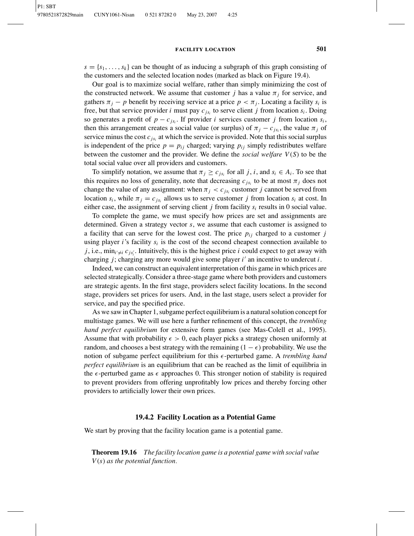# **facility location 501**

 $s = \{s_1, \ldots, s_k\}$  can be thought of as inducing a subgraph of this graph consisting of the customers and the selected location nodes (marked as black on Figure 19.4).

Our goal is to maximize social welfare, rather than simply minimizing the cost of the constructed network. We assume that customer *j* has a value  $\pi_i$  for service, and gathers  $\pi_j$  – *p* benefit by receiving service at a price  $p < \pi_j$ . Locating a facility  $s_i$  is free, but that service provider *i* must pay  $c_{js_i}$  to serve client *j* from location  $s_i$ . Doing so generates a profit of  $p - c_{is}$ . If provider *i* services customer *j* from location  $s_i$ , then this arrangement creates a social value (or surplus) of  $\pi_j - c_{js_j}$ , the value  $\pi_j$  of service minus the cost  $c_{js_i}$  at which the service is provided. Note that this social surplus is independent of the price  $p = p_{ij}$  charged; varying  $p_{ij}$  simply redistributes welfare between the customer and the provider. We define the *social welfare V* (*S*) to be the total social value over all providers and customers.

To simplify notation, we assume that  $\pi_j \geq c_{is_i}$  for all *j*, *i*, and  $s_i \in A_i$ . To see that this requires no loss of generality, note that decreasing  $c_{js_i}$  to be at most  $\pi_j$  does not change the value of any assignment: when  $\pi_i < c_{is_i}$  customer *j* cannot be served from location  $s_i$ , while  $\pi_j = c_{js_i}$  allows us to serve customer *j* from location  $s_i$  at cost. In either case, the assignment of serving client *j* from facility *si* results in 0 social value.

To complete the game, we must specify how prices are set and assignments are determined. Given a strategy vector *s*, we assume that each customer is assigned to a facility that can serve for the lowest cost. The price  $p_{ij}$  charged to a customer *j* using player  $i$ 's facility  $s_i$  is the cost of the second cheapest connection available to *j*, i.e.,  $\min_{i' \neq i} c_{js'_i}$ . Intuitively, this is the highest price *i* could expect to get away with charging *j* ; charging any more would give some player *i* an incentive to undercut *i*.

Indeed, we can construct an equivalent interpretation of this game in which prices are selected strategically. Consider a three-stage game where both providers and customers are strategic agents. In the first stage, providers select facility locations. In the second stage, providers set prices for users. And, in the last stage, users select a provider for service, and pay the specified price.

As we saw in Chapter 1, subgame perfect equilibrium is a natural solution concept for multistage games. We will use here a further refinement of this concept, the *trembling hand perfect equilibrium* for extensive form games (see Mas-Colell et al., 1995). Assume that with probability  $\epsilon > 0$ , each player picks a strategy chosen uniformly at random, and chooses a best strategy with the remaining  $(1 - \epsilon)$  probability. We use the notion of subgame perfect equilibrium for this  $\epsilon$ -perturbed game. A *trembling hand perfect equilibrium* is an equilibrium that can be reached as the limit of equilibria in the  $\epsilon$ -perturbed game as  $\epsilon$  approaches 0. This stronger notion of stability is required to prevent providers from offering unprofitably low prices and thereby forcing other providers to artificially lower their own prices.

### **19.4.2 Facility Location as a Potential Game**

We start by proving that the facility location game is a potential game.

**Theorem 19.16** *The facility location game is a potential game with social value V* (*s*) *as the potential function.*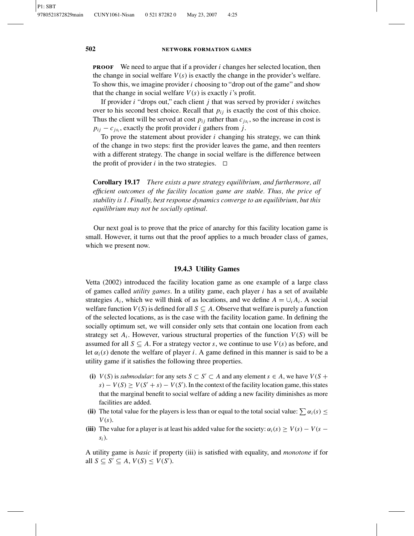**PROOF** We need to argue that if a provider *i* changes her selected location, then the change in social welfare  $V(s)$  is exactly the change in the provider's welfare. To show this, we imagine provider *i* choosing to "drop out of the game" and show that the change in social welfare  $V(s)$  is exactly *i*'s profit.

If provider *i* "drops out," each client *j* that was served by provider *i* switches over to his second best choice. Recall that  $p_{ij}$  is exactly the cost of this choice. Thus the client will be served at cost  $p_{ij}$  rather than  $c_{js_i}$ , so the increase in cost is  $p_{ij} - c_{js_i}$ , exactly the profit provider *i* gathers from *j*.

To prove the statement about provider *i* changing his strategy, we can think of the change in two steps: first the provider leaves the game, and then reenters with a different strategy. The change in social welfare is the difference between the profit of provider *i* in the two strategies.  $\Box$ 

**Corollary 19.17** *There exists a pure strategy equilibrium, and furthermore, all efficient outcomes of the facility location game are stable. Thus, the price of stability is 1. Finally, best response dynamics converge to an equilibrium, but this equilibrium may not be socially optimal.*

Our next goal is to prove that the price of anarchy for this facility location game is small. However, it turns out that the proof applies to a much broader class of games, which we present now.

#### **19.4.3 Utility Games**

Vetta (2002) introduced the facility location game as one example of a large class of games called *utility games*. In a utility game, each player *i* has a set of available strategies  $A_i$ , which we will think of as locations, and we define  $A = \bigcup_i A_i$ . A social welfare function  $V(S)$  is defined for all  $S \subseteq A$ . Observe that welfare is purely a function of the selected locations, as is the case with the facility location game. In defining the socially optimum set, we will consider only sets that contain one location from each strategy set  $A_i$ . However, various structural properties of the function  $V(S)$  will be assumed for all  $S \subseteq A$ . For a strategy vector *s*, we continue to use  $V(s)$  as before, and let  $\alpha_i(s)$  denote the welfare of player *i*. A game defined in this manner is said to be a utility game if it satisfies the following three properties.

- **(i)**  $V(S)$  is *submodular*: for any sets *S* ⊂ *S'* ⊂ *A* and any element *s* ∈ *A*, we have  $V(S +$  $s$ ) − *V*(*S*) ≥ *V*(*S'* + *s*) − *V*(*S'*). In the context of the facility location game, this states that the marginal benefit to social welfare of adding a new facility diminishes as more facilities are added.
- (ii) The total value for the players is less than or equal to the total social value:  $\sum \alpha_i(s) \leq$  $V(s)$ .
- **(iii)** The value for a player is at least his added value for the society:  $\alpha_i(s) \ge V(s) V(s$ *si*).

A utility game is *basic* if property (iii) is satisfied with equality, and *monotone* if for all  $S \subseteq S' \subseteq A$ ,  $V(S) \leq V(S')$ .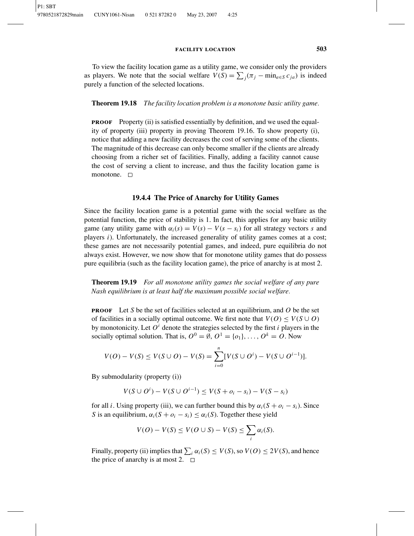# **facility location 503**

To view the facility location game as a utility game, we consider only the providers as players. We note that the social welfare  $V(S) = \sum_j (\pi_j - \min_{a \in S} c_{ja})$  is indeed purely a function of the selected locations.

**Theorem 19.18** *The facility location problem is a monotone basic utility game.*

**PROOF** Property (ii) is satisfied essentially by definition, and we used the equality of property (iii) property in proving Theorem 19.16. To show property (i), notice that adding a new facility decreases the cost of serving some of the clients. The magnitude of this decrease can only become smaller if the clients are already choosing from a richer set of facilities. Finally, adding a facility cannot cause the cost of serving a client to increase, and thus the facility location game is monotone.  $\square$ 

### **19.4.4 The Price of Anarchy for Utility Games**

Since the facility location game is a potential game with the social welfare as the potential function, the price of stability is 1. In fact, this applies for any basic utility game (any utility game with  $\alpha_i(s) = V(s) - V(s - s_i)$  for all strategy vectors *s* and players *i*). Unfortunately, the increased generality of utility games comes at a cost; these games are not necessarily potential games, and indeed, pure equilibria do not always exist. However, we now show that for monotone utility games that do possess pure equilibria (such as the facility location game), the price of anarchy is at most 2.

**Theorem 19.19** *For all monotone utility games the social welfare of any pure Nash equilibrium is at least half the maximum possible social welfare.*

**proof** Let *S* be the set of facilities selected at an equilibrium, and *O* be the set of facilities in a socially optimal outcome. We first note that  $V(O) \le V(S \cup O)$ by monotonicity. Let  $O^i$  denote the strategies selected by the first *i* players in the socially optimal solution. That is,  $O^0 = \emptyset$ ,  $O^1 = \{o_1\}, \ldots, O^k = O$ . Now

$$
V(O) - V(S) \le V(S \cup O) - V(S) = \sum_{i=0}^{n} [V(S \cup O^{i}) - V(S \cup O^{i-1})].
$$

By submodularity (property (i))

$$
V(S \cup O^{i}) - V(S \cup O^{i-1}) \le V(S + o_i - s_i) - V(S - s_i)
$$

for all *i*. Using property (iii), we can further bound this by  $\alpha_i(S + o_i - s_i)$ . Since *S* is an equilibrium,  $\alpha_i(S + o_i - s_i) \leq \alpha_i(S)$ . Together these yield

$$
V(O) - V(S) \leq V(O \cup S) - V(S) \leq \sum_i \alpha_i(S).
$$

Finally, property (ii) implies that  $\sum_i \alpha_i(S) \le V(S)$ , so  $V(O) \le 2V(S)$ , and hence the price of anarchy is at most 2.  $\Box$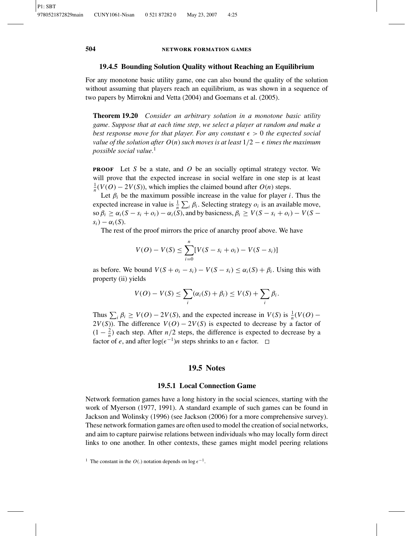# **19.4.5 Bounding Solution Quality without Reaching an Equilibrium**

For any monotone basic utility game, one can also bound the quality of the solution without assuming that players reach an equilibrium, as was shown in a sequence of two papers by Mirrokni and Vetta (2004) and Goemans et al. (2005).

**Theorem 19.20** *Consider an arbitrary solution in a monotone basic utility game. Suppose that at each time step, we select a player at random and make a best response move for that player. For any constant*  $\epsilon > 0$  *the expected social value of the solution after*  $O(n)$  *such moves is at least*  $1/2 - \epsilon$  *times the maximum possible social value.*<sup>1</sup>

**PROOF** Let *S* be a state, and *O* be an socially optimal strategy vector. We will prove that the expected increase in social welfare in one step is at least  $\frac{1}{n}(V(O) - 2V(S))$ , which implies the claimed bound after  $O(n)$  steps.

Let  $\beta_i$  be the maximum possible increase in the value for player *i*. Thus the expected increase in value is  $\frac{1}{n} \sum_i \beta_i$ . Selecting strategy  $o_i$  is an available move, so  $\beta_i \ge \alpha_i (S - s_i + o_i) - \alpha_i (S)$ , and by basicness,  $\beta_i \ge V(S - s_i + o_i) - V(S - s_i)$  $s_i$ ) –  $\alpha_i(S)$ .

The rest of the proof mirrors the price of anarchy proof above. We have

$$
V(O) - V(S) \le \sum_{i=0}^{n} [V(S - s_i + o_i) - V(S - s_i)]
$$

as before. We bound  $V(S + o_i - s_i) - V(S - s_i) \leq \alpha_i(S) + \beta_i$ . Using this with property (ii) yields

$$
V(O) - V(S) \le \sum_i (\alpha_i(S) + \beta_i) \le V(S) + \sum_i \beta_i.
$$

Thus  $\sum_i \beta_i \ge V(O) - 2V(S)$ , and the expected increase in  $V(S)$  is  $\frac{1}{n}(V(O) -$ 2*V*(S)). The difference *V*( $O$ ) − 2*V*(S) is expected to decrease by a factor of  $(1 - \frac{2}{n})$  each step. After *n/*2 steps, the difference is expected to decrease by a factor of *e*, and after  $log(\epsilon^{-1})n$  steps shrinks to an  $\epsilon$  factor. □

## **19.5 Notes**

#### **19.5.1 Local Connection Game**

Network formation games have a long history in the social sciences, starting with the work of Myerson (1977, 1991). A standard example of such games can be found in Jackson and Wolinsky (1996) (see Jackson (2006) for a more comprehensive survey). These network formation games are often used to model the creation of social networks, and aim to capture pairwise relations between individuals who may locally form direct links to one another. In other contexts, these games might model peering relations

<sup>&</sup>lt;sup>1</sup> The constant in the  $O(.)$  notation depends on  $log \epsilon^{-1}$ .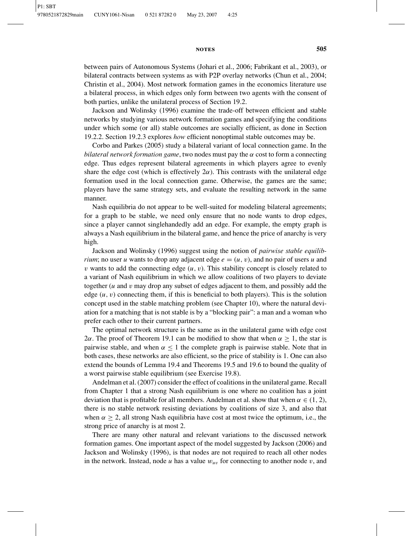#### **notes 505**

between pairs of Autonomous Systems (Johari et al., 2006; Fabrikant et al., 2003), or bilateral contracts between systems as with P2P overlay networks (Chun et al., 2004; Christin et al., 2004). Most network formation games in the economics literature use a bilateral process, in which edges only form between two agents with the consent of both parties, unlike the unilateral process of Section 19.2.

Jackson and Wolinsky (1996) examine the trade-off between efficient and stable networks by studying various network formation games and specifying the conditions under which some (or all) stable outcomes are socially efficient, as done in Section 19.2.2. Section 19.2.3 explores *how* efficient nonoptimal stable outcomes may be.

Corbo and Parkes (2005) study a bilateral variant of local connection game. In the *bilateral network formation game*, two nodes must pay the *α* cost to form a connecting edge. Thus edges represent bilateral agreements in which players agree to evenly share the edge cost (which is effectively  $2\alpha$ ). This contrasts with the unilateral edge formation used in the local connection game. Otherwise, the games are the same; players have the same strategy sets, and evaluate the resulting network in the same manner.

Nash equilibria do not appear to be well-suited for modeling bilateral agreements; for a graph to be stable, we need only ensure that no node wants to drop edges, since a player cannot singlehandedly add an edge. For example, the empty graph is always a Nash equilibrium in the bilateral game, and hence the price of anarchy is very high.

Jackson and Wolinsky (1996) suggest using the notion of *pairwise stable equilibrium*; no user *u* wants to drop any adjacent edge  $e = (u, v)$ , and no pair of users *u* and  $v$  wants to add the connecting edge  $(u, v)$ . This stability concept is closely related to a variant of Nash equilibrium in which we allow coalitions of two players to deviate together (*u* and *v* may drop any subset of edges adjacent to them, and possibly add the edge  $(u, v)$  connecting them, if this is beneficial to both players). This is the solution concept used in the stable matching problem (see Chapter 10), where the natural deviation for a matching that is not stable is by a "blocking pair": a man and a woman who prefer each other to their current partners.

The optimal network structure is the same as in the unilateral game with edge cost 2*α*. The proof of Theorem 19.1 can be modified to show that when *α* ≥ 1, the star is pairwise stable, and when  $\alpha \leq 1$  the complete graph is pairwise stable. Note that in both cases, these networks are also efficient, so the price of stability is 1. One can also extend the bounds of Lemma 19.4 and Theorems 19.5 and 19.6 to bound the quality of a worst pairwise stable equilibrium (see Exercise 19.8).

Andelman et al. (2007) consider the effect of coalitions in the unilateral game. Recall from Chapter 1 that a strong Nash equilibrium is one where no coalition has a joint deviation that is profitable for all members. Andelman et al. show that when  $\alpha \in (1, 2)$ , there is no stable network resisting deviations by coalitions of size 3, and also that when  $\alpha \geq 2$ , all strong Nash equilibria have cost at most twice the optimum, i.e., the strong price of anarchy is at most 2.

There are many other natural and relevant variations to the discussed network formation games. One important aspect of the model suggested by Jackson (2006) and Jackson and Wolinsky (1996), is that nodes are not required to reach all other nodes in the network. Instead, node  $u$  has a value  $w_{uv}$  for connecting to another node  $v$ , and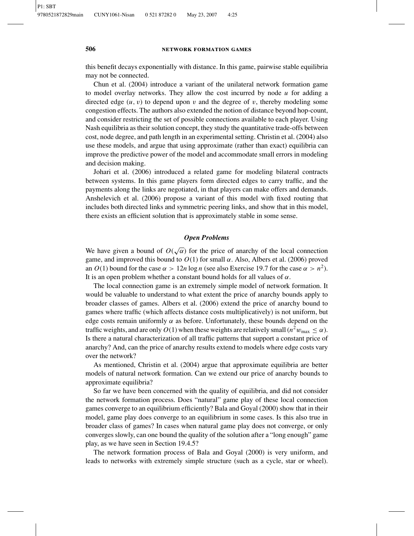this benefit decays exponentially with distance. In this game, pairwise stable equilibria may not be connected.

Chun et al. (2004) introduce a variant of the unilateral network formation game to model overlay networks. They allow the cost incurred by node *u* for adding a directed edge  $(u, v)$  to depend upon  $v$  and the degree of  $v$ , thereby modeling some congestion effects. The authors also extended the notion of distance beyond hop-count, and consider restricting the set of possible connections available to each player. Using Nash equilibria as their solution concept, they study the quantitative trade-offs between cost, node degree, and path length in an experimental setting. Christin et al. (2004) also use these models, and argue that using approximate (rather than exact) equilibria can improve the predictive power of the model and accommodate small errors in modeling and decision making.

Johari et al. (2006) introduced a related game for modeling bilateral contracts between systems. In this game players form directed edges to carry traffic, and the payments along the links are negotiated, in that players can make offers and demands. Anshelevich et al. (2006) propose a variant of this model with fixed routing that includes both directed links and symmetric peering links, and show that in this model, there exists an efficient solution that is approximately stable in some sense.

# *Open Problems*

We have given a bound of  $O(\sqrt{\alpha})$  for the price of anarchy of the local connection game, and improved this bound to *O*(1) for small *α*. Also, Albers et al. (2006) proved an  $O(1)$  bound for the case  $\alpha > 12n \log n$  (see also Exercise 19.7 for the case  $\alpha > n^2$ ). It is an open problem whether a constant bound holds for all values of *α*.

The local connection game is an extremely simple model of network formation. It would be valuable to understand to what extent the price of anarchy bounds apply to broader classes of games. Albers et al. (2006) extend the price of anarchy bound to games where traffic (which affects distance costs multiplicatively) is not uniform, but edge costs remain uniformly  $\alpha$  as before. Unfortunately, these bounds depend on the traffic weights, and are only  $O(1)$  when these weights are relatively small  $(n^2w_{\text{max}} \leq \alpha)$ . Is there a natural characterization of all traffic patterns that support a constant price of anarchy? And, can the price of anarchy results extend to models where edge costs vary over the network?

As mentioned, Christin et al. (2004) argue that approximate equilibria are better models of natural network formation. Can we extend our price of anarchy bounds to approximate equilibria?

So far we have been concerned with the quality of equilibria, and did not consider the network formation process. Does "natural" game play of these local connection games converge to an equilibrium efficiently? Bala and Goyal (2000) show that in their model, game play does converge to an equilibrium in some cases. Is this also true in broader class of games? In cases when natural game play does not converge, or only converges slowly, can one bound the quality of the solution after a "long enough" game play, as we have seen in Section 19.4.5?

The network formation process of Bala and Goyal (2000) is very uniform, and leads to networks with extremely simple structure (such as a cycle, star or wheel).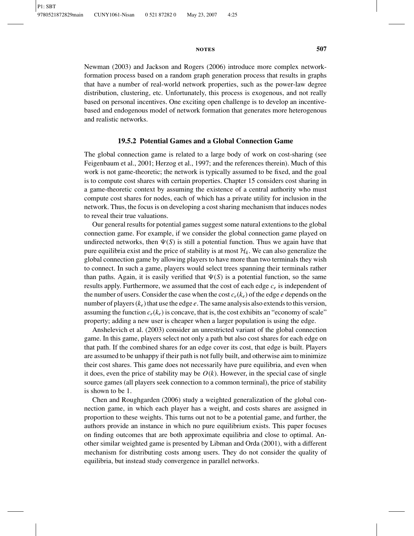#### **notes 507**

Newman (2003) and Jackson and Rogers (2006) introduce more complex networkformation process based on a random graph generation process that results in graphs that have a number of real-world network properties, such as the power-law degree distribution, clustering, etc. Unfortunately, this process is exogenous, and not really based on personal incentives. One exciting open challenge is to develop an incentivebased and endogenous model of network formation that generates more heterogenous and realistic networks.

# **19.5.2 Potential Games and a Global Connection Game**

The global connection game is related to a large body of work on cost-sharing (see Feigenbaum et al., 2001; Herzog et al., 1997; and the references therein). Much of this work is not game-theoretic; the network is typically assumed to be fixed, and the goal is to compute cost shares with certain properties. Chapter 15 considers cost sharing in a game-theoretic context by assuming the existence of a central authority who must compute cost shares for nodes, each of which has a private utility for inclusion in the network. Thus, the focus is on developing a cost sharing mechanism that induces nodes to reveal their true valuations.

Our general results for potential games suggest some natural extentions to the global connection game. For example, if we consider the global connection game played on undirected networks, then  $\Psi(S)$  is still a potential function. Thus we again have that pure equilibria exist and the price of stability is at most  $\mathcal{H}_k$ . We can also generalize the global connection game by allowing players to have more than two terminals they wish to connect. In such a game, players would select trees spanning their terminals rather than paths. Again, it is easily verified that  $\Psi(S)$  is a potential function, so the same results apply. Furthermore, we assumed that the cost of each edge  $c_e$  is independent of the number of users. Consider the case when the cost  $c_e(k_e)$  of the edge *e* depends on the number of players  $(k_e)$  that use the edge  $e$ . The same analysis also extends to this version, assuming the function  $c_e(k_e)$  is concave, that is, the cost exhibits an "economy of scale" property; adding a new user is cheaper when a larger population is using the edge.

Anshelevich et al. (2003) consider an unrestricted variant of the global connection game. In this game, players select not only a path but also cost shares for each edge on that path. If the combined shares for an edge cover its cost, that edge is built. Players are assumed to be unhappy if their path is not fully built, and otherwise aim to minimize their cost shares. This game does not necessarily have pure equilibria, and even when it does, even the price of stability may be  $O(k)$ . However, in the special case of single source games (all players seek connection to a common terminal), the price of stability is shown to be 1.

Chen and Roughgarden (2006) study a weighted generalization of the global connection game, in which each player has a weight, and costs shares are assigned in proportion to these weights. This turns out not to be a potential game, and further, the authors provide an instance in which no pure equilibrium exists. This paper focuses on finding outcomes that are both approximate equilibria and close to optimal. Another similar weighted game is presented by Libman and Orda (2001), with a different mechanism for distributing costs among users. They do not consider the quality of equilibria, but instead study convergence in parallel networks.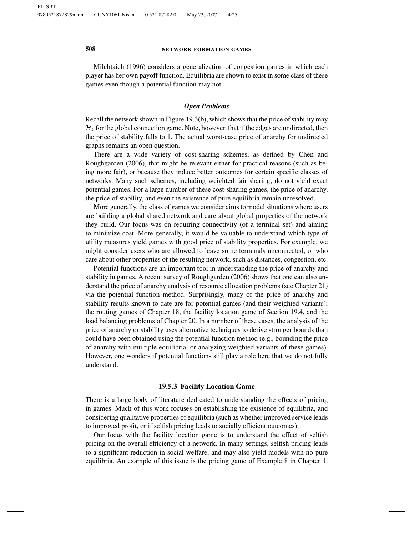Milchtaich (1996) considers a generalization of congestion games in which each player has her own payoff function. Equilibria are shown to exist in some class of these games even though a potential function may not.

#### *Open Problems*

Recall the network shown in Figure 19.3(b), which shows that the price of stability may  $\mathcal{H}_k$  for the global connection game. Note, however, that if the edges are undirected, then the price of stability falls to 1. The actual worst-case price of anarchy for undirected graphs remains an open question.

There are a wide variety of cost-sharing schemes, as defined by Chen and Roughgarden (2006), that might be relevant either for practical reasons (such as being more fair), or because they induce better outcomes for certain specific classes of networks. Many such schemes, including weighted fair sharing, do not yield exact potential games. For a large number of these cost-sharing games, the price of anarchy, the price of stability, and even the existence of pure equilibria remain unresolved.

More generally, the class of games we consider aims to model situations where users are building a global shared network and care about global properties of the network they build. Our focus was on requiring connectivity (of a terminal set) and aiming to minimize cost. More generally, it would be valuable to understand which type of utility measures yield games with good price of stability properties. For example, we might consider users who are allowed to leave some terminals unconnected, or who care about other properties of the resulting network, such as distances, congestion, etc.

Potential functions are an important tool in understanding the price of anarchy and stability in games. A recent survey of Roughgarden (2006) shows that one can also understand the price of anarchy analysis of resource allocation problems (see Chapter 21) via the potential function method. Surprisingly, many of the price of anarchy and stability results known to date are for potential games (and their weighted variants); the routing games of Chapter 18, the facility location game of Section 19.4, and the load balancing problems of Chapter 20. In a number of these cases, the analysis of the price of anarchy or stability uses alternative techniques to derive stronger bounds than could have been obtained using the potential function method (e.g., bounding the price of anarchy with multiple equilibria, or analyzing weighted variants of these games). However, one wonders if potential functions still play a role here that we do not fully understand.

# **19.5.3 Facility Location Game**

There is a large body of literature dedicated to understanding the effects of pricing in games. Much of this work focuses on establishing the existence of equilibria, and considering qualitative properties of equilibria (such as whether improved service leads to improved profit, or if selfish pricing leads to socially efficient outcomes).

Our focus with the facility location game is to understand the effect of selfish pricing on the overall efficiency of a network. In many settings, selfish pricing leads to a significant reduction in social welfare, and may also yield models with no pure equilibria. An example of this issue is the pricing game of Example 8 in Chapter 1.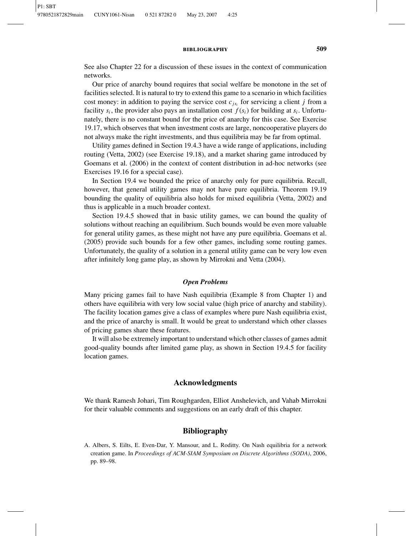# **bibliography 509**

Our price of anarchy bound requires that social welfare be monotone in the set of facilities selected. It is natural to try to extend this game to a scenario in which facilities cost money: in addition to paying the service cost  $c_{js_i}$  for servicing a client *j* from a facility  $s_i$ , the provider also pays an installation cost  $f(s_i)$  for building at  $s_i$ . Unfortunately, there is no constant bound for the price of anarchy for this case. See Exercise 19.17, which observes that when investment costs are large, noncooperative players do not always make the right investments, and thus equilibria may be far from optimal.

Utility games defined in Section 19.4.3 have a wide range of applications, including routing (Vetta, 2002) (see Exercise 19.18), and a market sharing game introduced by Goemans et al. (2006) in the context of content distribution in ad-hoc networks (see Exercises 19.16 for a special case).

In Section 19.4 we bounded the price of anarchy only for pure equilibria. Recall, however, that general utility games may not have pure equilibria. Theorem 19.19 bounding the quality of equilibria also holds for mixed equilibria (Vetta, 2002) and thus is applicable in a much broader context.

Section 19.4.5 showed that in basic utility games, we can bound the quality of solutions without reaching an equilibrium. Such bounds would be even more valuable for general utility games, as these might not have any pure equilibria. Goemans et al. (2005) provide such bounds for a few other games, including some routing games. Unfortunately, the quality of a solution in a general utility game can be very low even after infinitely long game play, as shown by Mirrokni and Vetta (2004).

#### *Open Problems*

Many pricing games fail to have Nash equilibria (Example 8 from Chapter 1) and others have equilibria with very low social value (high price of anarchy and stability). The facility location games give a class of examples where pure Nash equilibria exist, and the price of anarchy is small. It would be great to understand which other classes of pricing games share these features.

It will also be extremely important to understand which other classes of games admit good-quality bounds after limited game play, as shown in Section 19.4.5 for facility location games.

# **Acknowledgments**

We thank Ramesh Johari, Tim Roughgarden, Elliot Anshelevich, and Vahab Mirrokni for their valuable comments and suggestions on an early draft of this chapter.

# **Bibliography**

A. Albers, S. Eilts, E. Even-Dar, Y. Mansour, and L. Roditty. On Nash equilibria for a network creation game. In *Proceedings of ACM-SIAM Symposium on Discrete Algorithms (SODA)*, 2006, pp. 89–98.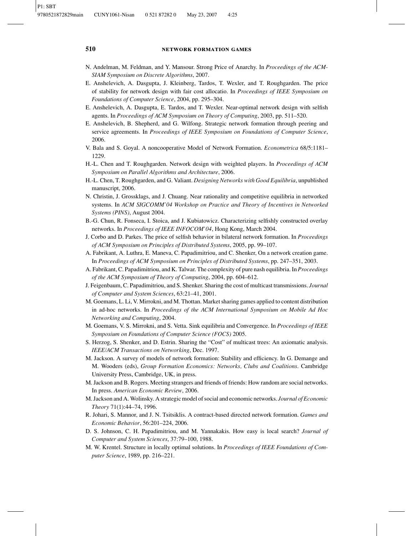- N. Andelman, M. Feldman, and Y. Mansour. Strong Price of Anarchy. In *Proceedings of the ACM-SIAM Symposium on Discrete Algorithms*, 2007.
- E. Anshelevich, A. Dasgupta, J. Kleinberg, Tardos, T. Wexler, and T. Roughgarden. The price of stability for network design with fair cost allocatio. In *Proceedings of IEEE Symposium on Foundations of Computer Science*, 2004, pp. 295–304.
- E. Anshelevich, A. Dasgupta, E. Tardos, and T. Wexler. Near-optimal network design with selfish agents. In *Proceedings of ACM Symposium on Theory of Computing*, 2003, pp. 511–520.
- E. Anshelevich, B. Shepherd, and G. Wilfong. Strategic network formation through peering and service agreements. In *Proceedings of IEEE Symposium on Foundations of Computer Science*, 2006.
- V. Bala and S. Goyal. A noncooperative Model of Network Formation. *Econometrica* 68/5:1181– 1229.
- H.-L. Chen and T. Roughgarden. Network design with weighted players. In *Proceedings of ACM Symposium on Parallel Algorithms and Architecture*, 2006.
- H.-L. Chen, T. Roughgarden, and G. Valiant. *Designing Networks with Good Equilibria*, unpublished manuscript, 2006.
- N. Christin, J. Grossklags, and J. Chuang. Near rationality and competitive equilibria in networked systems. In *ACM SIGCOMM'04 Workshop on Practice and Theory of Incentives in Networked Systems (PINS)*, August 2004.
- B.-G. Chun, R. Fonseca, I. Stoica, and J. Kubiatowicz. Characterizing selfishly constructed overlay networks. In *Proceedings of IEEE INFOCOM'04*, Hong Kong, March 2004.
- J. Corbo and D. Parkes. The price of selfish behavior in bilateral network formation. In *Proceedings of ACM Symposium on Principles of Distributed Systems*, 2005, pp. 99–107.
- A. Fabrikant, A. Luthra, E. Maneva, C. Papadimitriou, and C. Shenker, On a network creation game. In *Proceedings of ACM Symposium on Principles of Distributed Systems*, pp. 247–351, 2003.
- A. Fabrikant, C. Papadimitriou, and K. Talwar. The complexity of pure nash equilibria. In *Proceedings of the ACM Symposium of Theory of Computing*, 2004, pp. 604–612.
- J. Feigenbaum, C. Papadimitriou, and S. Shenker. Sharing the cost of multicast transmissions. *Journal of Computer and System Sciences*, 63:21–41, 2001.
- M. Goemans, L. Li, V. Mirrokni, and M. Thottan. Market sharing games applied to content distribution in ad-hoc networks. In *Proceedings of the ACM International Symposium on Mobile Ad Hoc Networking and Computing*, 2004.
- M. Goemans, V. S. Mirrokni, and S. Vetta. Sink equilibria and Convergence. In *Proceedings of IEEE Symposium on Foundations of Computer Science (FOCS)* 2005.
- S. Herzog, S. Shenker, and D. Estrin. Sharing the "Cost" of multicast trees: An axiomatic analysis. *IEEE/ACM Transactions on Networking*, Dec. 1997.
- M. Jackson. A survey of models of network formation: Stability and efficiency. In G. Demange and M. Wooders (eds), *Group Formation Economics: Networks, Clubs and Coalitions*. Cambridge University Press, Cambridge, UK, in press.
- M. Jackson and B. Rogers. Meeting strangers and friends of friends: How random are social networks. In press. *American Economic Review*, 2006.
- M. Jackson and A. Wolinsky. A strategic model of social and economic networks. *Journal of Economic Theory* 71(1):44–74, 1996.
- R. Johari, S. Mannor, and J. N. Tsitsiklis. A contract-based directed network formation. *Games and Economic Behavior*, 56:201–224, 2006.
- D. S. Johnson, C. H. Papadimitriou, and M. Yannakakis. How easy is local search? *Journal of Computer and System Sciences*, 37:79–100, 1988.
- M. W. Krentel. Structure in locally optimal solutions. In *Proceedings of IEEE Foundations of Computer Science*, 1989, pp. 216–221.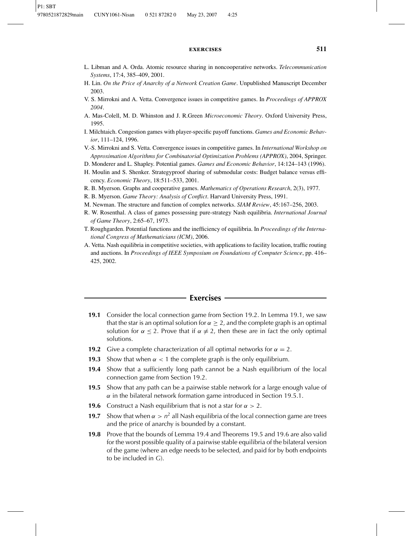### **exercises 511**

- L. Libman and A. Orda. Atomic resource sharing in noncooperative networks. *Telecommunication Systems*, 17:4, 385–409, 2001.
- H. Lin. *On the Price of Anarchy of a Network Creation Game*. Unpublished Manuscript December 2003.
- V. S. Mirrokni and A. Vetta. Convergence issues in competitive games. In *Proceedings of APPROX 2004*.
- A. Mas-Colell, M. D. Whinston and J. R.Green *Microeconomic Theory*. Oxford University Press, 1995.
- I. Milchtaich. Congestion games with player-specific payoff functions. *Games and Economic Behavior*, 111–124, 1996.
- V.-S. Mirrokni and S. Vetta. Convergence issues in competitive games. In *International Workshop on Approximation Algorithms for Combinatorial Optimization Problems (APPROX)*, 2004, Springer.
- D. Monderer and L. Shapley. Potential games. *Games and Economic Behavior*, 14:124–143 (1996).
- H. Moulin and S. Shenker. Strategyproof sharing of submodular costs: Budget balance versus efficency. *Economic Theory*, 18:511–533, 2001.
- R. B. Myerson. Graphs and cooperative games. *Mathematics of Operations Research*, 2(3), 1977.
- R. B. Myerson. *Game Theory: Analysis of Conflict*. Harvard University Press, 1991.
- M. Newman. The structure and function of complex networks. *SIAM Review*, 45:167–256, 2003.
- R. W. Rosenthal. A class of games possessing pure-strategy Nash equilibria. *International Journal of Game Theory*, 2:65–67, 1973.
- T. Roughgarden. Potential functions and the inefficiency of equilibria. In *Proceedings of the International Congress of Mathematicians (ICM)*, 2006.
- A. Vetta. Nash equilibria in competitive societies, with applications to facility location, traffic routing and auctions. In *Proceedings of IEEE Symposium on Foundations of Computer Science*, pp. 416– 425, 2002.

### **Exercises**

- **19.1** Consider the local connection game from Section 19.2. In Lemma 19.1, we saw that the star is an optimal solution for  $\alpha \geq 2$ , and the complete graph is an optimal solution for  $\alpha \leq 2$ . Prove that if  $\alpha \neq 2$ , then these are in fact the only optimal solutions.
- **19.2** Give a complete characterization of all optimal networks for  $\alpha = 2$ .
- **19.3** Show that when  $\alpha$  < 1 the complete graph is the only equilibrium.
- **19.4** Show that a sufficiently long path cannot be a Nash equilibrium of the local connection game from Section 19.2.
- **19.5** Show that any path can be a pairwise stable network for a large enough value of  $\alpha$  in the bilateral network formation game introduced in Section 19.5.1.
- **19.6** Construct a Nash equilibrium that is not a star for  $\alpha > 2$ .
- **19.7** Show that when  $\alpha > n^2$  all Nash equilibria of the local connection game are trees and the price of anarchy is bounded by a constant.
- **19.8** Prove that the bounds of Lemma 19.4 and Theorems 19.5 and 19.6 are also valid for the worst possible quality of a pairwise stable equilibria of the bilateral version of the game (where an edge needs to be selected, and paid for by both endpoints to be included in *G*).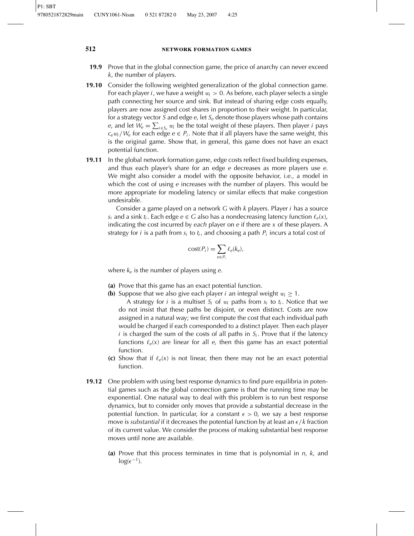- **19.9** Prove that in the global connection game, the price of anarchy can never exceed *k*, the number of players.
- **19.10** Consider the following weighted generalization of the global connection game. For each player *i*, we have a weight w*<sup>i</sup>* > 0. As before, each player selects a single path connecting her source and sink. But instead of sharing edge costs equally, players are now assigned cost shares in proportion to their weight. In particular, for a strategy vector *S* and edge *e*, let *Se* denote those players whose path contains *e,* and let  $W_e = \sum_{i \in S_e} w_i$  be the total weight of these players. Then player *i* pays  $c_e w_i / W_e$  for each edge  $e \in P_i$ . Note that if all players have the same weight, this is the original game. Show that, in general, this game does not have an exact potential function.
- **19.11** In the global network formation game, edge costs reflect fixed building expenses, and thus each player's share for an edge *e* decreases as more players use *e*. We might also consider a model with the opposite behavior, i.e., a model in which the cost of using *e* increases with the number of players. This would be more appropriate for modeling latency or similar effects that make congestion undesirable.

Consider a game played on a network *G* with *k* players. Player *i* has a source  $s_i$  and a sink  $t_i$ . Each edge  $e \in G$  also has a nondecreasing latency function  $\ell_e(x)$ , indicating the cost incurred by *each* player on *e* if there are *x* of these players. A strategy for *i* is a path from *si* to *ti* , and choosing a path *Pi* incurs a total cost of

$$
cost(P_i) = \sum_{e \in P_i} \ell_e(k_e),
$$

where *ke* is the number of players using *e*.

- **(a)** Prove that this game has an exact potential function.
- **(b)** Suppose that we also give each player *i* an integral weight  $w_i \geq 1$ .
	- A strategy for *i* is a multiset  $S_i$  of  $w_i$  paths from  $s_i$  to  $t_i$ . Notice that we do not insist that these paths be disjoint, or even distinct. Costs are now assigned in a natural way; we first compute the cost that each individual path would be charged if each corresponded to a distinct player. Then each player *i* is charged the sum of the costs of all paths in  $S_i$ . Prove that if the latency functions  $\ell_{\mathrm{e}}(\mathsf{x})$  are linear for all  $\mathrm{e}% (\varepsilon)$ , then this game has an exact potential function.
- **(c)** Show that if  $\ell_e(x)$  is not linear, then there may not be an exact potential function.
- **19.12** One problem with using best response dynamics to find pure equilibria in potential games such as the global connection game is that the running time may be exponential. One natural way to deal with this problem is to run best response dynamics, but to consider only moves that provide a substantial decrease in the potential function. In particular, for a constant  $\epsilon > 0$ , we say a best response move is *substantial* if it decreases the potential function by at least an  $\epsilon/k$  fraction of its current value. We consider the process of making substantial best response moves until none are available.
	- **(a)** Prove that this process terminates in time that is polynomial in *n*, *k*, and  $log(\epsilon^{-1})$ .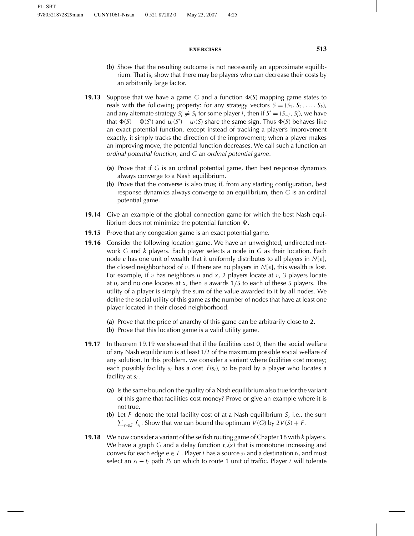# **exercises 513**

- **(b)** Show that the resulting outcome is not necessarily an approximate equilibrium. That is, show that there may be players who can decrease their costs by an arbitrarily large factor.
- **19.13** Suppose that we have a game *G* and a function  $\Phi(S)$  mapping game states to reals with the following property: for any strategy vectors  $S = (S_1, S_2, \ldots, S_k)$ , and any alternate strategy  $S_i' \neq S_i$  for some player *i*, then if  $S' = (S_{-i}, S_i')$ , we have that  $\Phi(S) - \Phi(S')$  and  $u_i(S') - u_i(S)$  share the same sign. Thus  $\Phi(S)$  behaves like an exact potential function, except instead of tracking a player's improvement exactly, it simply tracks the direction of the improvement; when a player makes an improving move, the potential function decreases. We call such a function an *ordinal potential function*, and *G* an *ordinal potential game*.
	- **(a)** Prove that if *G* is an ordinal potential game, then best response dynamics always converge to a Nash equilibrium.
	- **(b)** Prove that the converse is also true; if, from any starting configuration, best response dynamics always converge to an equilibrium, then *G* is an ordinal potential game.
- **19.14** Give an example of the global connection game for which the best Nash equilibrium does not minimize the potential function  $\Psi$ .
- **19.15** Prove that any congestion game is an exact potential game.
- **19.16** Consider the following location game. We have an unweighted, undirected network *G* and *k* players. Each player selects a node in *G* as their location. Each node v has one unit of wealth that it uniformly distributes to all players in  $N[v]$ , the closed neighborhood of v. If there are no players in *N*[v], this wealth is lost. For example, if v has neighbors *u* and *x*, 2 players locate at v, 3 players locate at *u*, and no one locates at *x*, then v awards 1/5 to each of these 5 players. The utility of a player is simply the sum of the value awarded to it by all nodes. We define the social utility of this game as the number of nodes that have at least one player located in their closed neighborhood.

**(a)** Prove that the price of anarchy of this game can be arbitrarily close to 2. **(b)** Prove that this location game is a valid utility game.

- **19.17** In theorem 19.19 we showed that if the facilities cost 0, then the social welfare of any Nash equilibrium is at least 1/2 of the maximum possible social welfare of any solution. In this problem, we consider a variant where facilities cost money; each possibly facility  $s_i$  has a cost  $f(s_i)$ , to be paid by a player who locates a facility at *si* .
	- **(a)** Is the same bound on the quality of a Nash equilibrium also true for the variant of this game that facilities cost money? Prove or give an example where it is not true.
	- **(b)** Let *F* denote the total facility cost of at a Nash equilibrium *S*, i.e., the sum  $\sum_{s_i \in S} f_{s_i}$ . Show that we can bound the optimum *V*(*O*) by 2*V*(*S*) + *F*.
- **19.18** We now consider a variant of the selfish routing game of Chapter 18 with *k* players. We have a graph  $G$  and a delay function  $\ell_e$ (x) that is monotone increasing and convex for each edge  $e \in E$ . Player *i* has a source  $s_i$  and a destination  $t_i$ , and must select an  $s_i - t_i$  path  $P_i$  on which to route 1 unit of traffic. Player *i* will tolerate